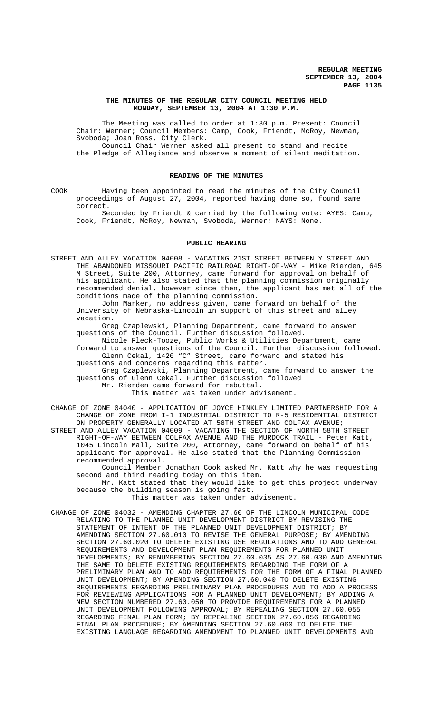## **THE MINUTES OF THE REGULAR CITY COUNCIL MEETING HELD MONDAY, SEPTEMBER 13, 2004 AT 1:30 P.M.**

The Meeting was called to order at 1:30 p.m. Present: Council Chair: Werner; Council Members: Camp, Cook, Friendt, McRoy, Newman, Svoboda; Joan Ross, City Clerk.

Council Chair Werner asked all present to stand and recite the Pledge of Allegiance and observe a moment of silent meditation.

### **READING OF THE MINUTES**

COOK Having been appointed to read the minutes of the City Council proceedings of August 27, 2004, reported having done so, found same correct.

Seconded by Friendt & carried by the following vote: AYES: Camp, Cook, Friendt, McRoy, Newman, Svoboda, Werner; NAYS: None.

### **PUBLIC HEARING**

STREET AND ALLEY VACATION 04008 - VACATING 21ST STREET BETWEEN Y STREET AND THE ABANDONED MISSOURI PACIFIC RAILROAD RIGHT-OF-WAY - Mike Rierden, 645 M Street, Suite 200, Attorney, came forward for approval on behalf of his applicant. He also stated that the planning commission originally recommended denial, however since then, the applicant has met all of the conditions made of the planning commission.

John Marker, no address given, came forward on behalf of the University of Nebraska-Lincoln in support of this street and alley vacation.

Greg Czaplewski, Planning Department, came forward to answer questions of the Council. Further discussion followed.

Nicole Fleck-Tooze, Public Works & Utilities Department, came forward to answer questions of the Council. Further discussion followed. Glenn Cekal, 1420 "C" Street, came forward and stated his questions and concerns regarding this matter.

Greg Czaplewski, Planning Department, came forward to answer the questions of Glenn Cekal. Further discussion followed

Mr. Rierden came forward for rebuttal.

This matter was taken under advisement.

CHANGE OF ZONE 04040 - APPLICATION OF JOYCE HINKLEY LIMITED PARTNERSHIP FOR A CHANGE OF ZONE FROM I-1 INDUSTRIAL DISTRICT TO R-5 RESIDENTIAL DISTRICT ON PROPERTY GENERALLY LOCATED AT 58TH STREET AND COLFAX AVENUE;

STREET AND ALLEY VACATION 04009 - VACATING THE SECTION OF NORTH 58TH STREET RIGHT-OF-WAY BETWEEN COLFAX AVENUE AND THE MURDOCK TRAIL - Peter Katt, 1045 Lincoln Mall, Suite 200, Attorney, came forward on behalf of his applicant for approval. He also stated that the Planning Commission recommended approval.

Council Member Jonathan Cook asked Mr. Katt why he was requesting second and third reading today on this item.

Mr. Katt stated that they would like to get this project underway because the building season is going fast.

This matter was taken under advisement.

CHANGE OF ZONE 04032 - AMENDING CHAPTER 27.60 OF THE LINCOLN MUNICIPAL CODE RELATING TO THE PLANNED UNIT DEVELOPMENT DISTRICT BY REVISING THE STATEMENT OF INTENT OF THE PLANNED UNIT DEVELOPMENT DISTRICT; BY AMENDING SECTION 27.60.010 TO REVISE THE GENERAL PURPOSE; BY AMENDING SECTION 27.60.020 TO DELETE EXISTING USE REGULATIONS AND TO ADD GENERAL REQUIREMENTS AND DEVELOPMENT PLAN REQUIREMENTS FOR PLANNED UNIT DEVELOPMENTS; BY RENUMBERING SECTION 27.60.035 AS 27.60.030 AND AMENDING THE SAME TO DELETE EXISTING REQUIREMENTS REGARDING THE FORM OF A PRELIMINARY PLAN AND TO ADD REQUIREMENTS FOR THE FORM OF A FINAL PLANNED UNIT DEVELOPMENT; BY AMENDING SECTION 27.60.040 TO DELETE EXISTING REQUIREMENTS REGARDING PRELIMINARY PLAN PROCEDURES AND TO ADD A PROCESS FOR REVIEWING APPLICATIONS FOR A PLANNED UNIT DEVELOPMENT; BY ADDING A NEW SECTION NUMBERED 27.60.050 TO PROVIDE REQUIREMENTS FOR A PLANNED UNIT DEVELOPMENT FOLLOWING APPROVAL; BY REPEALING SECTION 27.60.055 REGARDING FINAL PLAN FORM; BY REPEALING SECTION 27.60.056 REGARDING FINAL PLAN PROCEDURE; BY AMENDING SECTION 27.60.060 TO DELETE THE EXISTING LANGUAGE REGARDING AMENDMENT TO PLANNED UNIT DEVELOPMENTS AND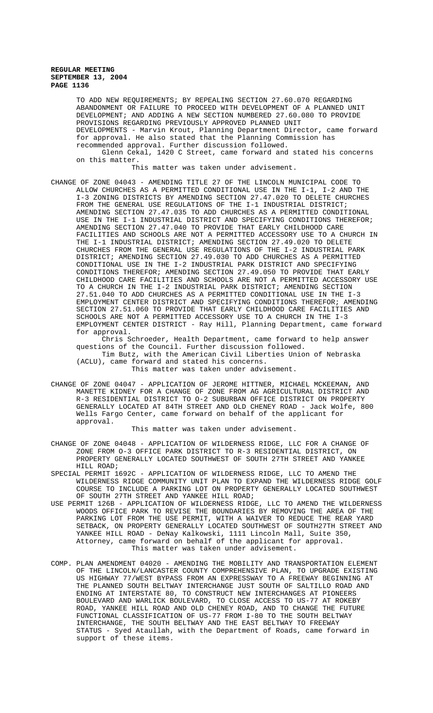TO ADD NEW REQUIREMENTS; BY REPEALING SECTION 27.60.070 REGARDING ABANDONMENT OR FAILURE TO PROCEED WITH DEVELOPMENT OF A PLANNED UNIT DEVELOPMENT; AND ADDING A NEW SECTION NUMBERED 27.60.080 TO PROVIDE PROVISIONS REGARDING PREVIOUSLY APPROVED PLANNED UNIT DEVELOPMENTS - Marvin Krout, Planning Department Director, came forward for approval. He also stated that the Planning Commission has recommended approval. Further discussion followed. Glenn Cekal, 1420 C Street, came forward and stated his concerns on this matter.

This matter was taken under advisement.

CHANGE OF ZONE 04043 - AMENDING TITLE 27 OF THE LINCOLN MUNICIPAL CODE TO ALLOW CHURCHES AS A PERMITTED CONDITIONAL USE IN THE I-1, I-2 AND THE I-3 ZONING DISTRICTS BY AMENDING SECTION 27.47.020 TO DELETE CHURCHES FROM THE GENERAL USE REGULATIONS OF THE I-1 INDUSTRIAL DISTRICT; AMENDING SECTION 27.47.035 TO ADD CHURCHES AS A PERMITTED CONDITIONAL USE IN THE I-1 INDUSTRIAL DISTRICT AND SPECIFYING CONDITIONS THEREFOR; AMENDING SECTION 27.47.040 TO PROVIDE THAT EARLY CHILDHOOD CARE FACILITIES AND SCHOOLS ARE NOT A PERMITTED ACCESSORY USE TO A CHURCH IN THE I-1 INDUSTRIAL DISTRICT; AMENDING SECTION 27.49.020 TO DELETE CHURCHES FROM THE GENERAL USE REGULATIONS OF THE I-2 INDUSTRIAL PARK DISTRICT; AMENDING SECTION 27.49.030 TO ADD CHURCHES AS A PERMITTED CONDITIONAL USE IN THE I-2 INDUSTRIAL PARK DISTRICT AND SPECIFYING CONDITIONS THEREFOR; AMENDING SECTION 27.49.050 TO PROVIDE THAT EARLY CHILDHOOD CARE FACILITIES AND SCHOOLS ARE NOT A PERMITTED ACCESSORY USE TO A CHURCH IN THE I-2 INDUSTRIAL PARK DISTRICT; AMENDING SECTION 27.51.040 TO ADD CHURCHES AS A PERMITTED CONDITIONAL USE IN THE I-3 EMPLOYMENT CENTER DISTRICT AND SPECIFYING CONDITIONS THEREFOR; AMENDING SECTION 27.51.060 TO PROVIDE THAT EARLY CHILDHOOD CARE FACILITIES AND SCHOOLS ARE NOT A PERMITTED ACCESSORY USE TO A CHURCH IN THE I-3 EMPLOYMENT CENTER DISTRICT - Ray Hill, Planning Department, came forward for approval.

Chris Schroeder, Health Department, came forward to help answer questions of the Council. Further discussion followed. Tim Butz, with the American Civil Liberties Union of Nebraska (ACLU), came forward and stated his concerns. This matter was taken under advisement.

CHANGE OF ZONE 04047 - APPLICATION OF JEROME HITTNER, MICHAEL MCKEEMAN, AND MANETTE KIDNEY FOR A CHANGE OF ZONE FROM AG AGRICULTURAL DISTRICT AND R-3 RESIDENTIAL DISTRICT TO O-2 SUBURBAN OFFICE DISTRICT ON PROPERTY GENERALLY LOCATED AT 84TH STREET AND OLD CHENEY ROAD - Jack Wolfe, 800 Wells Fargo Center, came forward on behalf of the applicant for approval.

This matter was taken under advisement.

- CHANGE OF ZONE 04048 APPLICATION OF WILDERNESS RIDGE, LLC FOR A CHANGE OF ZONE FROM O-3 OFFICE PARK DISTRICT TO R-3 RESIDENTIAL DISTRICT, ON PROPERTY GENERALLY LOCATED SOUTHWEST OF SOUTH 27TH STREET AND YANKEE HILL ROAD;
- SPECIAL PERMIT 1692C APPLICATION OF WILDERNESS RIDGE, LLC TO AMEND THE WILDERNESS RIDGE COMMUNITY UNIT PLAN TO EXPAND THE WILDERNESS RIDGE GOLF COURSE TO INCLUDE A PARKING LOT ON PROPERTY GENERALLY LOCATED SOUTHWEST OF SOUTH 27TH STREET AND YANKEE HILL ROAD;
- USE PERMIT 126B APPLICATION OF WILDERNESS RIDGE, LLC TO AMEND THE WILDERNESS WOODS OFFICE PARK TO REVISE THE BOUNDARIES BY REMOVING THE AREA OF THE PARKING LOT FROM THE USE PERMIT, WITH A WAIVER TO REDUCE THE REAR YARD SETBACK, ON PROPERTY GENERALLY LOCATED SOUTHWEST OF SOUTH27TH STREET AND YANKEE HILL ROAD - DeNay Kalkowski, 1111 Lincoln Mall, Suite 350, Attorney, came forward on behalf of the applicant for approval. This matter was taken under advisement.
- COMP. PLAN AMENDMENT 04020 AMENDING THE MOBILITY AND TRANSPORTATION ELEMENT OF THE LINCOLN/LANCASTER COUNTY COMPREHENSIVE PLAN, TO UPGRADE EXISTING US HIGHWAY 77/WEST BYPASS FROM AN EXPRESSWAY TO A FREEWAY BEGINNING AT THE PLANNED SOUTH BELTWAY INTERCHANGE JUST SOUTH OF SALTILLO ROAD AND ENDING AT INTERSTATE 80, TO CONSTRUCT NEW INTERCHANGES AT PIONEERS BOULEVARD AND WARLICK BOULEVARD, TO CLOSE ACCESS TO US-77 AT ROKEBY ROAD, YANKEE HILL ROAD AND OLD CHENEY ROAD, AND TO CHANGE THE FUTURE FUNCTIONAL CLASSIFICATION OF US-77 FROM I-80 TO THE SOUTH BELTWAY INTERCHANGE, THE SOUTH BELTWAY AND THE EAST BELTWAY TO FREEWAY STATUS - Syed Ataullah, with the Department of Roads, came forward in support of these items.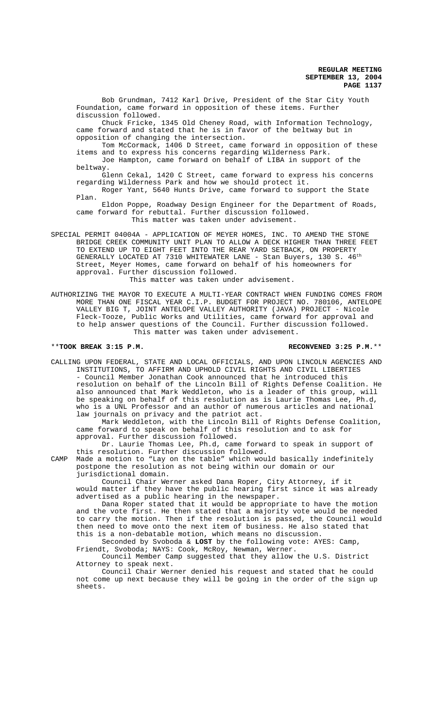Bob Grundman, 7412 Karl Drive, President of the Star City Youth Foundation, came forward in opposition of these items. Further discussion followed.

Chuck Fricke, 1345 Old Cheney Road, with Information Technology, came forward and stated that he is in favor of the beltway but in opposition of changing the intersection.

 Tom McCormack, 1406 D Street, came forward in opposition of these items and to express his concerns regarding Wilderness Park.

Joe Hampton, came forward on behalf of LIBA in support of the beltway.

Glenn Cekal, 1420 C Street, came forward to express his concerns regarding Wilderness Park and how we should protect it. Roger Yant, 5640 Hunts Drive, came forward to support the State

Plan. Eldon Poppe, Roadway Design Engineer for the Department of Roads, came forward for rebuttal. Further discussion followed. This matter was taken under advisement.

SPECIAL PERMIT 04004A - APPLICATION OF MEYER HOMES, INC. TO AMEND THE STONE BRIDGE CREEK COMMUNITY UNIT PLAN TO ALLOW A DECK HIGHER THAN THREE FEET TO EXTEND UP TO EIGHT FEET INTO THE REAR YARD SETBACK, ON PROPERTY GENERALLY LOCATED AT 7310 WHITEWATER LANE - Stan Buyers, 130 S. 46<sup>th</sup> Street, Meyer Homes, came forward on behalf of his homeowners for approval. Further discussion followed. This matter was taken under advisement.

AUTHORIZING THE MAYOR TO EXECUTE A MULTI-YEAR CONTRACT WHEN FUNDING COMES FROM MORE THAN ONE FISCAL YEAR C.I.P. BUDGET FOR PROJECT NO. 780106, ANTELOPE VALLEY BIG T, JOINT ANTELOPE VALLEY AUTHORITY (JAVA) PROJECT - Nicole Fleck-Tooze, Public Works and Utilities, came forward for approval and to help answer questions of the Council. Further discussion followed. This matter was taken under advisement.

\*\***TOOK BREAK 3:15 P.M. RECONVENED 3:25 P.M.**\*\*

CALLING UPON FEDERAL, STATE AND LOCAL OFFICIALS, AND UPON LINCOLN AGENCIES AND INSTITUTIONS, TO AFFIRM AND UPHOLD CIVIL RIGHTS AND CIVIL LIBERTIES - Council Member Jonathan Cook announced that he introduced this resolution on behalf of the Lincoln Bill of Rights Defense Coalition. He also announced that Mark Weddleton, who is a leader of this group, will be speaking on behalf of this resolution as is Laurie Thomas Lee, Ph.d, who is a UNL Professor and an author of numerous articles and national law journals on privacy and the patriot act.

Mark Weddleton, with the Lincoln Bill of Rights Defense Coalition, came forward to speak on behalf of this resolution and to ask for approval. Further discussion followed.

Dr. Laurie Thomas Lee, Ph.d, came forward to speak in support of this resolution. Further discussion followed.

CAMP Made a motion to "Lay on the table" which would basically indefinitely postpone the resolution as not being within our domain or our jurisdictional domain.

Council Chair Werner asked Dana Roper, City Attorney, if it would matter if they have the public hearing first since it was already advertised as a public hearing in the newspaper.

Dana Roper stated that it would be appropriate to have the motion and the vote first. He then stated that a majority vote would be needed to carry the motion. Then if the resolution is passed, the Council would then need to move onto the next item of business. He also stated that this is a non-debatable motion, which means no discussion.

Seconded by Svoboda & **LOST** by the following vote: AYES: Camp, Friendt, Svoboda; NAYS: Cook, McRoy, Newman, Werner.

Council Member Camp suggested that they allow the U.S. District Attorney to speak next.

Council Chair Werner denied his request and stated that he could not come up next because they will be going in the order of the sign up sheets.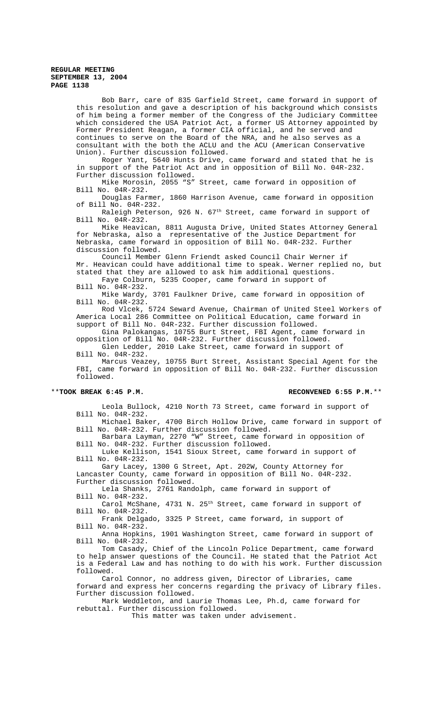Bob Barr, care of 835 Garfield Street, came forward in support of this resolution and gave a description of his background which consists of him being a former member of the Congress of the Judiciary Committee which considered the USA Patriot Act, a former US Attorney appointed by Former President Reagan, a former CIA official, and he served and continues to serve on the Board of the NRA, and he also serves as a consultant with the both the ACLU and the ACU (American Conservative Union). Further discussion followed.

Roger Yant, 5640 Hunts Drive, came forward and stated that he is in support of the Patriot Act and in opposition of Bill No. 04R-232. Further discussion followed.

Mike Morosin, 2055 "S" Street, came forward in opposition of Bill No. 04R-232.

Douglas Farmer, 1860 Harrison Avenue, came forward in opposition of Bill No. 04R-232.

Raleigh Peterson, 926 N. 67<sup>th</sup> Street, came forward in support of Bill No. 04R-232.

Mike Heavican, 8811 Augusta Drive, United States Attorney General for Nebraska, also a representative of the Justice Department for Nebraska, came forward in opposition of Bill No. 04R-232. Further discussion followed.

Council Member Glenn Friendt asked Council Chair Werner if Mr. Heavican could have additional time to speak. Werner replied no, but stated that they are allowed to ask him additional questions. Faye Colburn, 5235 Cooper, came forward in support of

Bill No. 04R-232.

Mike Wardy, 3701 Faulkner Drive, came forward in opposition of Bill No. 04R-232.

Rod Vlcek, 5724 Seward Avenue, Chairman of United Steel Workers of America Local 286 Committee on Political Education, came forward in support of Bill No. 04R-232. Further discussion followed.

Gina Palokangas, 10755 Burt Street, FBI Agent, came forward in opposition of Bill No. 04R-232. Further discussion followed.

Glen Ledder, 2010 Lake Street, came forward in support of Bill No. 04R-232.

Marcus Veazey, 10755 Burt Street, Assistant Special Agent for the FBI, came forward in opposition of Bill No. 04R-232. Further discussion followed.

# \*\***TOOK BREAK 6:45 P.M. RECONVENED 6:55 P.M.**\*\*

Leola Bullock, 4210 North 73 Street, came forward in support of Bill No. 04R-232.

Michael Baker, 4700 Birch Hollow Drive, came forward in support of Bill No. 04R-232. Further discussion followed.

Barbara Layman, 2270 "W" Street, came forward in opposition of Bill No. 04R-232. Further discussion followed.

Luke Kellison, 1541 Sioux Street, came forward in support of Bill No. 04R-232.

Gary Lacey, 1300 G Street, Apt. 202W, County Attorney for Lancaster County, came forward in opposition of Bill No. 04R-232. Further discussion followed.

Lela Shanks, 2761 Randolph, came forward in support of Bill No. 04R-232.

Carol McShane, 4731 N. 25<sup>th</sup> Street, came forward in support of Bill No. 04R-232.

Frank Delgado, 3325 P Street, came forward, in support of Bill No. 04R-232.

Anna Hopkins, 1901 Washington Street, came forward in support of Bill No. 04R-232.

Tom Casady, Chief of the Lincoln Police Department, came forward to help answer questions of the Council. He stated that the Patriot Act is a Federal Law and has nothing to do with his work. Further discussion followed.

Carol Connor, no address given, Director of Libraries, came forward and express her concerns regarding the privacy of Library files. Further discussion followed.

Mark Weddleton, and Laurie Thomas Lee, Ph.d, came forward for rebuttal. Further discussion followed.

This matter was taken under advisement.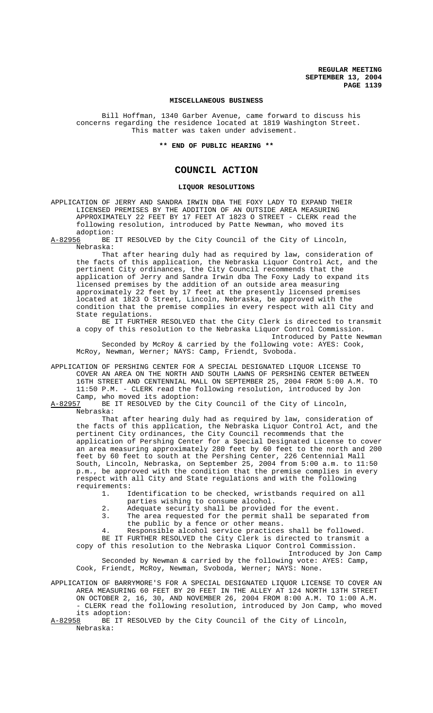#### **MISCELLANEOUS BUSINESS**

Bill Hoffman, 1340 Garber Avenue, came forward to discuss his concerns regarding the residence located at 1819 Washington Street. This matter was taken under advisement.

**\*\* END OF PUBLIC HEARING \*\***

# **COUNCIL ACTION**

#### **LIQUOR RESOLUTIONS**

APPLICATION OF JERRY AND SANDRA IRWIN DBA THE FOXY LADY TO EXPAND THEIR LICENSED PREMISES BY THE ADDITION OF AN OUTSIDE AREA MEASURING APPROXIMATELY 22 FEET BY 17 FEET AT 1823 O STREET - CLERK read the following resolution, introduced by Patte Newman, who moved its adoption:<br>A-82956 BE

BE IT RESOLVED by the City Council of the City of Lincoln, Nebraska:

That after hearing duly had as required by law, consideration of the facts of this application, the Nebraska Liquor Control Act, and the pertinent City ordinances, the City Council recommends that the application of Jerry and Sandra Irwin dba The Foxy Lady to expand its licensed premises by the addition of an outside area measuring approximately 22 feet by 17 feet at the presently licensed premises located at 1823 O Street, Lincoln, Nebraska, be approved with the condition that the premise complies in every respect with all City and State regulations.

BE IT FURTHER RESOLVED that the City Clerk is directed to transmit a copy of this resolution to the Nebraska Liquor Control Commission. Introduced by Patte Newman

Seconded by McRoy & carried by the following vote: AYES: Cook, McRoy, Newman, Werner; NAYS: Camp, Friendt, Svoboda.

APPLICATION OF PERSHING CENTER FOR A SPECIAL DESIGNATED LIQUOR LICENSE TO COVER AN AREA ON THE NORTH AND SOUTH LAWNS OF PERSHING CENTER BETWEEN 16TH STREET AND CENTENNIAL MALL ON SEPTEMBER 25, 2004 FROM 5:00 A.M. TO 11:50 P.M. - CLERK read the following resolution, introduced by Jon Camp, who moved its adoption:

A-82957 BE IT RESOLVED by the City Council of the City of Lincoln, Nebraska:

That after hearing duly had as required by law, consideration of the facts of this application, the Nebraska Liquor Control Act, and the pertinent City ordinances, the City Council recommends that the application of Pershing Center for a Special Designated License to cover an area measuring approximately 280 feet by 60 feet to the north and 200 feet by 60 feet to south at the Pershing Center, 226 Centennial Mall South, Lincoln, Nebraska, on September 25, 2004 from 5:00 a.m. to 11:50 p.m., be approved with the condition that the premise complies in every respect with all City and State regulations and with the following requirements:

1. Identification to be checked, wristbands required on all

- parties wishing to consume alcohol.
- 2. Adequate security shall be provided for the event.<br>3. The area requested for the permit shall be separat
	- The area requested for the permit shall be separated from the public by a fence or other means.

4. Responsible alcohol service practices shall be followed.

BE IT FURTHER RESOLVED the City Clerk is directed to transmit a copy of this resolution to the Nebraska Liquor Control Commission.

Introduced by Jon Camp Seconded by Newman & carried by the following vote: AYES: Camp, Cook, Friendt, McRoy, Newman, Svoboda, Werner; NAYS: None.

APPLICATION OF BARRYMORE'S FOR A SPECIAL DESIGNATED LIQUOR LICENSE TO COVER AN AREA MEASURING 60 FEET BY 20 FEET IN THE ALLEY AT 124 NORTH 13TH STREET ON OCTOBER 2, 16, 30, AND NOVEMBER 26, 2004 FROM 8:00 A.M. TO 1:00 A.M. - CLERK read the following resolution, introduced by Jon Camp, who moved its adoption:<br>A-82958 BE IT R

BE IT RESOLVED by the City Council of the City of Lincoln, Nebraska: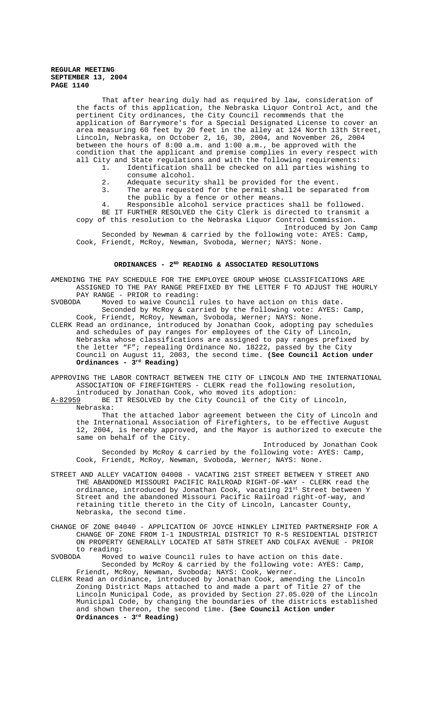That after hearing duly had as required by law, consideration of the facts of this application, the Nebraska Liquor Control Act, and the pertinent City ordinances, the City Council recommends that the application of Barrymore's for a Special Designated License to cover an area measuring 60 feet by 20 feet in the alley at 124 North 13th Street, Lincoln, Nebraska, on October 2, 16, 30, 2004, and November 26, 2004 between the hours of 8:00 a.m. and 1:00 a.m., be approved with the condition that the applicant and premise complies in every respect with

- all City and State regulations and with the following requirements:<br>1. Identification shall be checked on all parties wishing Identification shall be checked on all parties wishing to consume alcohol.
	- 2. Adequate security shall be provided for the event.<br>3. The area requested for the permit shall be separat
		- The area requested for the permit shall be separated from the public by a fence or other means.

4. Responsible alcohol service practices shall be followed. BE IT FURTHER RESOLVED the City Clerk is directed to transmit a copy of this resolution to the Nebraska Liquor Control Commission.

Introduced by Jon Camp Seconded by Newman & carried by the following vote: AYES: Camp, Cook, Friendt, McRoy, Newman, Svoboda, Werner; NAYS: None.

# ORDINANCES - 2<sup>ND</sup> READING & ASSOCIATED RESOLUTIONS

AMENDING THE PAY SCHEDULE FOR THE EMPLOYEE GROUP WHOSE CLASSIFICATIONS ARE ASSIGNED TO THE PAY RANGE PREFIXED BY THE LETTER F TO ADJUST THE HOURLY PAY RANGE - PRIOR to reading:<br>SVOBODA Moved to waive Council

Moved to waive Council rules to have action on this date. Seconded by McRoy & carried by the following vote: AYES: Camp, Cook, Friendt, McRoy, Newman, Svoboda, Werner; NAYS: None.

CLERK Read an ordinance, introduced by Jonathan Cook, adopting pay schedules and schedules of pay ranges for employees of the City of Lincoln, Nebraska whose classifications are assigned to pay ranges prefixed by the letter "F"; repealing Ordinance No. 18222, passed by the City Council on August 11, 2003, the second time. **(See Council Action under Ordinances - 3rd Reading)**

APPROVING THE LABOR CONTRACT BETWEEN THE CITY OF LINCOLN AND THE INTERNATIONAL ASSOCIATION OF FIREFIGHTERS - CLERK read the following resolution, introduced by Jonathan Cook, who moved its adoption:

A-82959 BE IT RESOLVED by the City Council of the City of Lincoln, Nebraska:

That the attached labor agreement between the City of Lincoln and the International Association of Firefighters, to be effective August 12, 2004, is hereby approved, and the Mayor is authorized to execute the same on behalf of the City.

Introduced by Jonathan Cook Seconded by McRoy & carried by the following vote: AYES: Camp, Cook, Friendt, McRoy, Newman, Svoboda, Werner; NAYS: None.

- STREET AND ALLEY VACATION 04008 VACATING 21ST STREET BETWEEN Y STREET AND THE ABANDONED MISSOURI PACIFIC RAILROAD RIGHT-OF-WAY - CLERK read the ordinance, introduced by Jonathan Cook, vacating 21st Street between Y Street and the abandoned Missouri Pacific Railroad right-of-way, and retaining title thereto in the City of Lincoln, Lancaster County, Nebraska, the second time.
- CHANGE OF ZONE 04040 APPLICATION OF JOYCE HINKLEY LIMITED PARTNERSHIP FOR A CHANGE OF ZONE FROM I-1 INDUSTRIAL DISTRICT TO R-5 RESIDENTIAL DISTRICT ON PROPERTY GENERALLY LOCATED AT 58TH STREET AND COLFAX AVENUE - PRIOR to reading:<br>SVOBODA Moved
- Moved to waive Council rules to have action on this date. Seconded by McRoy & carried by the following vote: AYES: Camp, Friendt, McRoy, Newman, Svoboda; NAYS: Cook, Werner.
- CLERK Read an ordinance, introduced by Jonathan Cook, amending the Lincoln Zoning District Maps attached to and made a part of Title 27 of the Lincoln Municipal Code, as provided by Section 27.05.020 of the Lincoln Municipal Code, by changing the boundaries of the districts established and shown thereon, the second time. **(See Council Action under Ordinances - 3rd Reading)**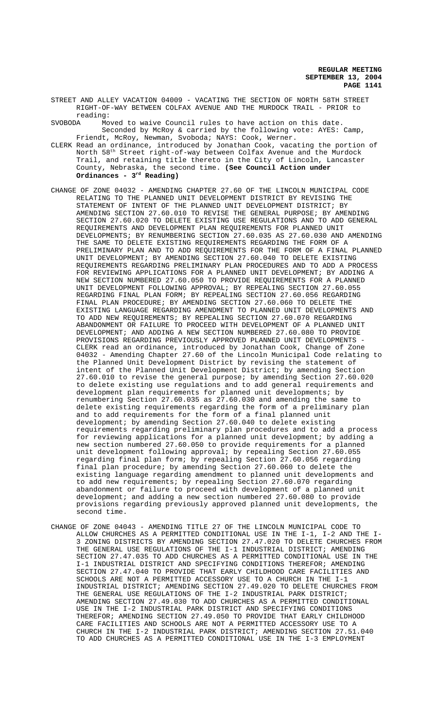- STREET AND ALLEY VACATION 04009 VACATING THE SECTION OF NORTH 58TH STREET RIGHT-OF-WAY BETWEEN COLFAX AVENUE AND THE MURDOCK TRAIL - PRIOR to reading:<br>SVOBODA Mo
- Moved to waive Council rules to have action on this date. Seconded by McRoy & carried by the following vote: AYES: Camp, Friendt, McRoy, Newman, Svoboda; NAYS: Cook, Werner.
- CLERK Read an ordinance, introduced by Jonathan Cook, vacating the portion of North 58th Street right-of-way between Colfax Avenue and the Murdock Trail, and retaining title thereto in the City of Lincoln, Lancaster County, Nebraska, the second time. **(See Council Action under Ordinances - 3rd Reading)**
- CHANGE OF ZONE 04032 AMENDING CHAPTER 27.60 OF THE LINCOLN MUNICIPAL CODE RELATING TO THE PLANNED UNIT DEVELOPMENT DISTRICT BY REVISING THE STATEMENT OF INTENT OF THE PLANNED UNIT DEVELOPMENT DISTRICT; BY AMENDING SECTION 27.60.010 TO REVISE THE GENERAL PURPOSE; BY AMENDING SECTION 27.60.020 TO DELETE EXISTING USE REGULATIONS AND TO ADD GENERAL REQUIREMENTS AND DEVELOPMENT PLAN REQUIREMENTS FOR PLANNED UNIT DEVELOPMENTS; BY RENUMBERING SECTION 27.60.035 AS 27.60.030 AND AMENDING THE SAME TO DELETE EXISTING REQUIREMENTS REGARDING THE FORM OF A PRELIMINARY PLAN AND TO ADD REQUIREMENTS FOR THE FORM OF A FINAL PLANNED UNIT DEVELOPMENT; BY AMENDING SECTION 27.60.040 TO DELETE EXISTING REQUIREMENTS REGARDING PRELIMINARY PLAN PROCEDURES AND TO ADD A PROCESS FOR REVIEWING APPLICATIONS FOR A PLANNED UNIT DEVELOPMENT; BY ADDING A NEW SECTION NUMBERED 27.60.050 TO PROVIDE REQUIREMENTS FOR A PLANNED UNIT DEVELOPMENT FOLLOWING APPROVAL; BY REPEALING SECTION 27.60.055 REGARDING FINAL PLAN FORM; BY REPEALING SECTION 27.60.056 REGARDING FINAL PLAN PROCEDURE; BY AMENDING SECTION 27.60.060 TO DELETE THE EXISTING LANGUAGE REGARDING AMENDMENT TO PLANNED UNIT DEVELOPMENTS AND TO ADD NEW REQUIREMENTS; BY REPEALING SECTION 27.60.070 REGARDING ABANDONMENT OR FAILURE TO PROCEED WITH DEVELOPMENT OF A PLANNED UNIT DEVELOPMENT; AND ADDING A NEW SECTION NUMBERED 27.60.080 TO PROVIDE PROVISIONS REGARDING PREVIOUSLY APPROVED PLANNED UNIT DEVELOPMENTS - CLERK read an ordinance, introduced by Jonathan Cook, Change of Zone 04032 - Amending Chapter 27.60 of the Lincoln Municipal Code relating to the Planned Unit Development District by revising the statement of intent of the Planned Unit Development District; by amending Section 27.60.010 to revise the general purpose; by amending Section 27.60.020 to delete existing use regulations and to add general requirements and development plan requirements for planned unit developments; by renumbering Section 27.60.035 as 27.60.030 and amending the same to delete existing requirements regarding the form of a preliminary plan and to add requirements for the form of a final planned unit development; by amending Section 27.60.040 to delete existing requirements regarding preliminary plan procedures and to add a process for reviewing applications for a planned unit development; by adding a new section numbered 27.60.050 to provide requirements for a planned unit development following approval; by repealing Section 27.60.055 regarding final plan form; by repealing Section 27.60.056 regarding final plan procedure; by amending Section 27.60.060 to delete the existing language regarding amendment to planned unit developments and to add new requirements; by repealing Section 27.60.070 regarding abandonment or failure to proceed with development of a planned unit development; and adding a new section numbered 27.60.080 to provide provisions regarding previously approved planned unit developments, the second time.
- CHANGE OF ZONE 04043 AMENDING TITLE 27 OF THE LINCOLN MUNICIPAL CODE TO ALLOW CHURCHES AS A PERMITTED CONDITIONAL USE IN THE I-1, I-2 AND THE I-3 ZONING DISTRICTS BY AMENDING SECTION 27.47.020 TO DELETE CHURCHES FROM THE GENERAL USE REGULATIONS OF THE I-1 INDUSTRIAL DISTRICT; AMENDING SECTION 27.47.035 TO ADD CHURCHES AS A PERMITTED CONDITIONAL USE IN THE I-1 INDUSTRIAL DISTRICT AND SPECIFYING CONDITIONS THEREFOR; AMENDING SECTION 27.47.040 TO PROVIDE THAT EARLY CHILDHOOD CARE FACILITIES AND SCHOOLS ARE NOT A PERMITTED ACCESSORY USE TO A CHURCH IN THE I-1 INDUSTRIAL DISTRICT; AMENDING SECTION 27.49.020 TO DELETE CHURCHES FROM THE GENERAL USE REGULATIONS OF THE I-2 INDUSTRIAL PARK DISTRICT; AMENDING SECTION 27.49.030 TO ADD CHURCHES AS A PERMITTED CONDITIONAL USE IN THE I-2 INDUSTRIAL PARK DISTRICT AND SPECIFYING CONDITIONS THEREFOR; AMENDING SECTION 27.49.050 TO PROVIDE THAT EARLY CHILDHOOD CARE FACILITIES AND SCHOOLS ARE NOT A PERMITTED ACCESSORY USE TO A CHURCH IN THE I-2 INDUSTRIAL PARK DISTRICT; AMENDING SECTION 27.51.040 TO ADD CHURCHES AS A PERMITTED CONDITIONAL USE IN THE I-3 EMPLOYMENT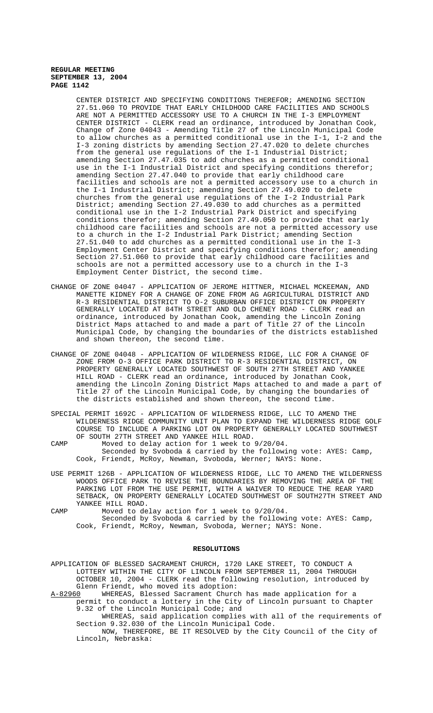CENTER DISTRICT AND SPECIFYING CONDITIONS THEREFOR; AMENDING SECTION 27.51.060 TO PROVIDE THAT EARLY CHILDHOOD CARE FACILITIES AND SCHOOLS ARE NOT A PERMITTED ACCESSORY USE TO A CHURCH IN THE I-3 EMPLOYMENT CENTER DISTRICT - CLERK read an ordinance, introduced by Jonathan Cook, Change of Zone 04043 - Amending Title 27 of the Lincoln Municipal Code to allow churches as a permitted conditional use in the I-1, I-2 and the I-3 zoning districts by amending Section 27.47.020 to delete churches from the general use regulations of the I-1 Industrial District; amending Section 27.47.035 to add churches as a permitted conditional use in the I-1 Industrial District and specifying conditions therefor; amending Section 27.47.040 to provide that early childhood care facilities and schools are not a permitted accessory use to a church in the I-1 Industrial District; amending Section 27.49.020 to delete churches from the general use regulations of the I-2 Industrial Park District; amending Section 27.49.030 to add churches as a permitted conditional use in the I-2 Industrial Park District and specifying conditions therefor; amending Section 27.49.050 to provide that early childhood care facilities and schools are not a permitted accessory use to a church in the I-2 Industrial Park District; amending Section 27.51.040 to add churches as a permitted conditional use in the I-3 Employment Center District and specifying conditions therefor; amending Section 27.51.060 to provide that early childhood care facilities and schools are not a permitted accessory use to a church in the I-3 Employment Center District, the second time.

- CHANGE OF ZONE 04047 APPLICATION OF JEROME HITTNER, MICHAEL MCKEEMAN, AND MANETTE KIDNEY FOR A CHANGE OF ZONE FROM AG AGRICULTURAL DISTRICT AND R-3 RESIDENTIAL DISTRICT TO O-2 SUBURBAN OFFICE DISTRICT ON PROPERTY GENERALLY LOCATED AT 84TH STREET AND OLD CHENEY ROAD - CLERK read an ordinance, introduced by Jonathan Cook, amending the Lincoln Zoning District Maps attached to and made a part of Title 27 of the Lincoln Municipal Code, by changing the boundaries of the districts established and shown thereon, the second time.
- CHANGE OF ZONE 04048 APPLICATION OF WILDERNESS RIDGE, LLC FOR A CHANGE OF ZONE FROM O-3 OFFICE PARK DISTRICT TO R-3 RESIDENTIAL DISTRICT, ON PROPERTY GENERALLY LOCATED SOUTHWEST OF SOUTH 27TH STREET AND YANKEE HILL ROAD - CLERK read an ordinance, introduced by Jonathan Cook, amending the Lincoln Zoning District Maps attached to and made a part of Title 27 of the Lincoln Municipal Code, by changing the boundaries of the districts established and shown thereon, the second time.
- SPECIAL PERMIT 1692C APPLICATION OF WILDERNESS RIDGE, LLC TO AMEND THE WILDERNESS RIDGE COMMUNITY UNIT PLAN TO EXPAND THE WILDERNESS RIDGE GOLF COURSE TO INCLUDE A PARKING LOT ON PROPERTY GENERALLY LOCATED SOUTHWEST OF SOUTH 27TH STREET AND YANKEE HILL ROAD.
- CAMP Moved to delay action for 1 week to 9/20/04. Seconded by Svoboda & carried by the following vote: AYES: Camp, Cook, Friendt, McRoy, Newman, Svoboda, Werner; NAYS: None.
- USE PERMIT 126B APPLICATION OF WILDERNESS RIDGE, LLC TO AMEND THE WILDERNESS WOODS OFFICE PARK TO REVISE THE BOUNDARIES BY REMOVING THE AREA OF THE PARKING LOT FROM THE USE PERMIT, WITH A WAIVER TO REDUCE THE REAR YARD SETBACK, ON PROPERTY GENERALLY LOCATED SOUTHWEST OF SOUTH27TH STREET AND YANKEE HILL ROAD.
- CAMP Moved to delay action for 1 week to 9/20/04. Seconded by Svoboda & carried by the following vote: AYES: Camp, Cook, Friendt, McRoy, Newman, Svoboda, Werner; NAYS: None.

#### **RESOLUTIONS**

APPLICATION OF BLESSED SACRAMENT CHURCH, 1720 LAKE STREET, TO CONDUCT A LOTTERY WITHIN THE CITY OF LINCOLN FROM SEPTEMBER 11, 2004 THROUGH OCTOBER 10, 2004 - CLERK read the following resolution, introduced by Glenn Friendt, who moved its adoption:

A-82960 WHEREAS, Blessed Sacrament Church has made application for a permit to conduct a lottery in the City of Lincoln pursuant to Chapter 9.32 of the Lincoln Municipal Code; and

WHEREAS, said application complies with all of the requirements of Section 9.32.030 of the Lincoln Municipal Code.

NOW, THEREFORE, BE IT RESOLVED by the City Council of the City of Lincoln, Nebraska: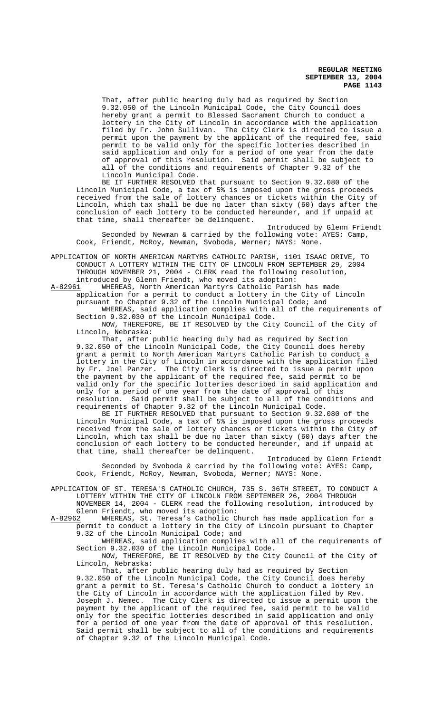That, after public hearing duly had as required by Section 9.32.050 of the Lincoln Municipal Code, the City Council does hereby grant a permit to Blessed Sacrament Church to conduct a lottery in the City of Lincoln in accordance with the application filed by Fr. John Sullivan. The City Clerk is directed to issue a permit upon the payment by the applicant of the required fee, said permit to be valid only for the specific lotteries described in said application and only for a period of one year from the date of approval of this resolution. Said permit shall be subject to all of the conditions and requirements of Chapter 9.32 of the Lincoln Municipal Code.

BE IT FURTHER RESOLVED that pursuant to Section 9.32.080 of the Lincoln Municipal Code, a tax of 5% is imposed upon the gross proceeds received from the sale of lottery chances or tickets within the City of Lincoln, which tax shall be due no later than sixty (60) days after the conclusion of each lottery to be conducted hereunder, and if unpaid at that time, shall thereafter be delinquent.

Introduced by Glenn Friendt Seconded by Newman & carried by the following vote: AYES: Camp, Cook, Friendt, McRoy, Newman, Svoboda, Werner; NAYS: None.

APPLICATION OF NORTH AMERICAN MARTYRS CATHOLIC PARISH, 1101 ISAAC DRIVE, TO CONDUCT A LOTTERY WITHIN THE CITY OF LINCOLN FROM SEPTEMBER 29, 2004 THROUGH NOVEMBER 21, 2004 - CLERK read the following resolution, introduced by Glenn Friendt, who moved its adoption:

A-82961 WHEREAS, North American Martyrs Catholic Parish has made application for a permit to conduct a lottery in the City of Lincoln pursuant to Chapter 9.32 of the Lincoln Municipal Code; and WHEREAS, said application complies with all of the requirements of Section 9.32.030 of the Lincoln Municipal Code.

NOW, THEREFORE, BE IT RESOLVED by the City Council of the City of Lincoln, Nebraska:

That, after public hearing duly had as required by Section 9.32.050 of the Lincoln Municipal Code, the City Council does hereby grant a permit to North American Martyrs Catholic Parish to conduct a lottery in the City of Lincoln in accordance with the application filed by Fr. Joel Panzer. The City Clerk is directed to issue a permit upon the payment by the applicant of the required fee, said permit to be valid only for the specific lotteries described in said application and only for a period of one year from the date of approval of this resolution. Said permit shall be subject to all of the conditions and requirements of Chapter 9.32 of the Lincoln Municipal Code.

BE IT FURTHER RESOLVED that pursuant to Section 9.32.080 of the Lincoln Municipal Code, a tax of 5% is imposed upon the gross proceeds received from the sale of lottery chances or tickets within the City of Lincoln, which tax shall be due no later than sixty (60) days after the conclusion of each lottery to be conducted hereunder, and if unpaid at that time, shall thereafter be delinquent.

Introduced by Glenn Friendt Seconded by Svoboda & carried by the following vote: AYES: Camp, Cook, Friendt, McRoy, Newman, Svoboda, Werner; NAYS: None.

APPLICATION OF ST. TERESA'S CATHOLIC CHURCH, 735 S. 36TH STREET, TO CONDUCT A LOTTERY WITHIN THE CITY OF LINCOLN FROM SEPTEMBER 26, 2004 THROUGH NOVEMBER 14, 2004 - CLERK read the following resolution, introduced by

Glenn Friendt, who moved its adoption:<br>A-82962 WHEREAS, St. Teresa's Catholic C WHEREAS, St. Teresa's Catholic Church has made application for a permit to conduct a lottery in the City of Lincoln pursuant to Chapter 9.32 of the Lincoln Municipal Code; and

WHEREAS, said application complies with all of the requirements of Section 9.32.030 of the Lincoln Municipal Code.

NOW, THEREFORE, BE IT RESOLVED by the City Council of the City of Lincoln, Nebraska:

That, after public hearing duly had as required by Section 9.32.050 of the Lincoln Municipal Code, the City Council does hereby grant a permit to St. Teresa's Catholic Church to conduct a lottery in the City of Lincoln in accordance with the application filed by Rev. Joseph J. Nemec. The City Clerk is directed to issue a permit upon the payment by the applicant of the required fee, said permit to be valid only for the specific lotteries described in said application and only for a period of one year from the date of approval of this resolution. Said permit shall be subject to all of the conditions and requirements of Chapter 9.32 of the Lincoln Municipal Code.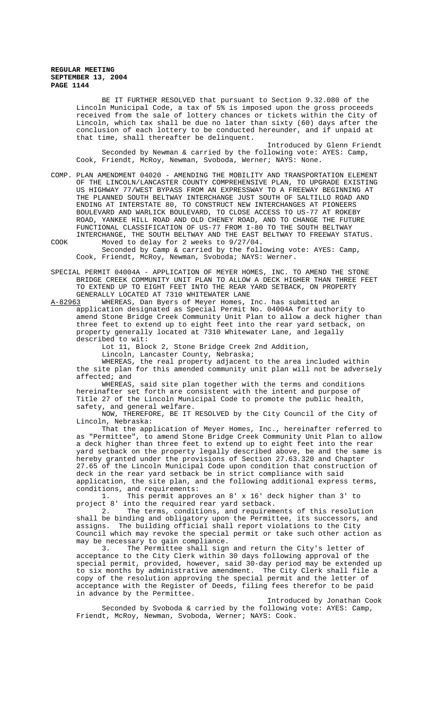BE IT FURTHER RESOLVED that pursuant to Section 9.32.080 of the Lincoln Municipal Code, a tax of 5% is imposed upon the gross proceeds received from the sale of lottery chances or tickets within the City of Lincoln, which tax shall be due no later than sixty (60) days after the conclusion of each lottery to be conducted hereunder, and if unpaid at that time, shall thereafter be delinquent.

Introduced by Glenn Friendt Seconded by Newman & carried by the following vote: AYES: Camp, Cook, Friendt, McRoy, Newman, Svoboda, Werner; NAYS: None.

COMP. PLAN AMENDMENT 04020 - AMENDING THE MOBILITY AND TRANSPORTATION ELEMENT OF THE LINCOLN/LANCASTER COUNTY COMPREHENSIVE PLAN, TO UPGRADE EXISTING US HIGHWAY 77/WEST BYPASS FROM AN EXPRESSWAY TO A FREEWAY BEGINNING AT THE PLANNED SOUTH BELTWAY INTERCHANGE JUST SOUTH OF SALTILLO ROAD AND ENDING AT INTERSTATE 80, TO CONSTRUCT NEW INTERCHANGES AT PIONEERS BOULEVARD AND WARLICK BOULEVARD, TO CLOSE ACCESS TO US-77 AT ROKEBY ROAD, YANKEE HILL ROAD AND OLD CHENEY ROAD, AND TO CHANGE THE FUTURE FUNCTIONAL CLASSIFICATION OF US-77 FROM I-80 TO THE SOUTH BELTWAY INTERCHANGE, THE SOUTH BELTWAY AND THE EAST BELTWAY TO FREEWAY STATUS. COOK Moved to delay for 2 weeks to 9/27/04.

Seconded by Camp & carried by the following vote: AYES: Camp, Cook, Friendt, McRoy, Newman, Svoboda; NAYS: Werner.

SPECIAL PERMIT 04004A - APPLICATION OF MEYER HOMES, INC. TO AMEND THE STONE BRIDGE CREEK COMMUNITY UNIT PLAN TO ALLOW A DECK HIGHER THAN THREE FEET TO EXTEND UP TO EIGHT FEET INTO THE REAR YARD SETBACK, ON PROPERTY GENERALLY LOCATED AT 7310 WHITEWATER LANE<br>A-82963 WHEREAS, Dan Byers of Meyer Homes, J

A-82963 WHEREAS, Dan Byers of Meyer Homes, Inc. has submitted an application designated as Special Permit No. 04004A for authority to amend Stone Bridge Creek Community Unit Plan to allow a deck higher than three feet to extend up to eight feet into the rear yard setback, on property generally located at 7310 Whitewater Lane, and legally described to wit:

Lot 11, Block 2, Stone Bridge Creek 2nd Addition,

Lincoln, Lancaster County, Nebraska;

WHEREAS, the real property adjacent to the area included within the site plan for this amended community unit plan will not be adversely affected; and

WHEREAS, said site plan together with the terms and conditions hereinafter set forth are consistent with the intent and purpose of Title 27 of the Lincoln Municipal Code to promote the public health, safety, and general welfare.

NOW, THEREFORE, BE IT RESOLVED by the City Council of the City of Lincoln, Nebraska:

That the application of Meyer Homes, Inc., hereinafter referred to as "Permittee", to amend Stone Bridge Creek Community Unit Plan to allow a deck higher than three feet to extend up to eight feet into the rear yard setback on the property legally described above, be and the same is hereby granted under the provisions of Section 27.63.320 and Chapter 27.65 of the Lincoln Municipal Code upon condition that construction of deck in the rear yard setback be in strict compliance with said application, the site plan, and the following additional express terms,

conditions, and requirements:<br>1. This permit appro This permit approves an  $8'$  x  $16'$  deck higher than  $3'$  to project 8' into the required rear yard setback.

2. The terms, conditions, and requirements of this resolution shall be binding and obligatory upon the Permittee, its successors, and assigns. The building official shall report violations to the City Council which may revoke the special permit or take such other action as may be necessary to gain compliance.<br>3. The Permittee shall sign

The Permittee shall sign and return the City's letter of acceptance to the City Clerk within 30 days following approval of the special permit, provided, however, said 30-day period may be extended up to six months by administrative amendment. The City Clerk shall file a copy of the resolution approving the special permit and the letter of acceptance with the Register of Deeds, filing fees therefor to be paid in advance by the Permittee.

Introduced by Jonathan Cook Seconded by Svoboda & carried by the following vote: AYES: Camp, Friendt, McRoy, Newman, Svoboda, Werner; NAYS: Cook.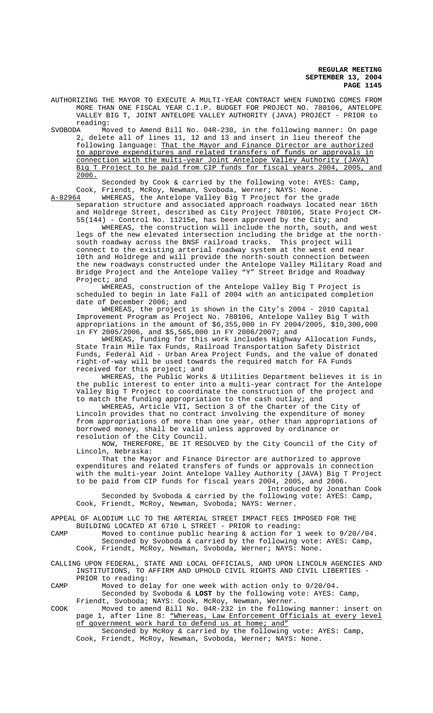AUTHORIZING THE MAYOR TO EXECUTE A MULTI-YEAR CONTRACT WHEN FUNDING COMES FROM MORE THAN ONE FISCAL YEAR C.I.P. BUDGET FOR PROJECT NO. 780106, ANTELOPE VALLEY BIG T, JOINT ANTELOPE VALLEY AUTHORITY (JAVA) PROJECT - PRIOR to reading:<br>SVOBODA Mo

Moved to Amend Bill No. 04R-230, in the following manner: On page 2, delete all of lines 11, 12 and 13 and insert in lieu thereof the following language: That the Mayor and Finance Director are authorized to approve expenditures and related transfers of funds or approvals in connection with the multi-year Joint Antelope Valley Authority (JAVA) Big T Project to be paid from CIP funds for fiscal years 2004, 2005, and 2006.

Seconded by Cook & carried by the following vote: AYES: Camp, Cook, Friendt, McRoy, Newman, Svoboda, Werner; NAYS: None.<br>A-82964 WHEREAS, the Antelope Valley Big T Project for the g

WHEREAS, the Antelope Valley Big T Project for the grade separation structure and associated approach roadways located near 16th and Holdrege Street, described as City Project 780106, State Project CM-55(144) - Control No. 11215e, has been approved by the City; and

WHEREAS, the construction will include the north, south, and west legs of the new elevated intersection including the bridge at the northsouth roadway across the BNSF railroad tracks. This project will connect to the existing arterial roadway system at the west end near 10th and Holdrege and will provide the north-south connection between the new roadways constructed under the Antelope Valley Military Road and Bridge Project and the Antelope Valley "Y" Street Bridge and Roadway Project; and

WHEREAS, construction of the Antelope Valley Big T Project is scheduled to begin in late Fall of 2004 with an anticipated completion date of December 2006; and

WHEREAS, the project is shown in the City's 2004 - 2010 Capital Improvement Program as Project No. 780106, Antelope Valley Big T with appropriations in the amount of \$6,355,000 in FY 2004/2005, \$10,300,000 in FY 2005/2006, and \$5,565,000 in FY 2006/2007; and

WHEREAS, funding for this work includes Highway Allocation Funds, State Train Mile Tax Funds, Railroad Transportation Safety District Funds, Federal Aid - Urban Area Project Funds, and the value of donated right-of-way will be used towards the required match for FA Funds received for this project; and

WHEREAS, the Public Works & Utilities Department believes it is in the public interest to enter into a multi-year contract for the Antelope Valley Big T Project to coordinate the construction of the project and to match the funding appropriation to the cash outlay; and

WHEREAS, Article VII, Section 3 of the Charter of the City of Lincoln provides that no contract involving the expenditure of money from appropriations of more than one year, other than appropriations of borrowed money, shall be valid unless approved by ordinance or resolution of the City Council.

NOW, THEREFORE, BE IT RESOLVED by the City Council of the City of Lincoln, Nebraska:

That the Mayor and Finance Director are authorized to approve expenditures and related transfers of funds or approvals in connection with the multi-year Joint Antelope Valley Authority (JAVA) Big T Project to be paid from CIP funds for fiscal years 2004, 2005, and 2006.

Introduced by Jonathan Cook Seconded by Svoboda & carried by the following vote: AYES: Camp, Cook, Friendt, McRoy, Newman, Svoboda; NAYS: Werner.

APPEAL OF ALODIUM LLC TO THE ARTERIAL STREET IMPACT FEES IMPOSED FOR THE BUILDING LOCATED AT 6710 L STREET - PRIOR to reading:

CAMP Moved to continue public hearing & action for 1 week to 9/20//04. Seconded by Svoboda & carried by the following vote: AYES: Camp, Cook, Friendt, McRoy, Newman, Svoboda, Werner; NAYS: None.

CALLING UPON FEDERAL, STATE AND LOCAL OFFICIALS, AND UPON LINCOLN AGENCIES AND INSTITUTIONS, TO AFFIRM AND UPHOLD CIVIL RIGHTS AND CIVIL LIBERTIES - PRIOR to reading:

CAMP Moved to delay for one week with action only to 9/20/04. Seconded by Svoboda & **LOST** by the following vote: AYES: Camp,

Friendt, Svoboda; NAYS: Cook, McRoy, Newman, Werner. COOK Moved to amend Bill No. 04R-232 in the following manner: insert on page 1, after line 8: "Whereas, Law Enforcement Officials at every level of government work hard to defend us at home; and" Seconded by McRoy & carried by the following vote: AYES: Camp,

Cook, Friendt, McRoy, Newman, Svoboda, Werner; NAYS: None.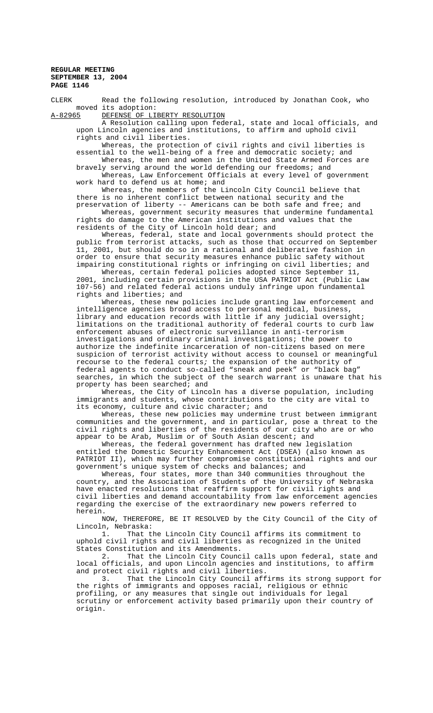CLERK Read the following resolution, introduced by Jonathan Cook, who moved its adoption:

A-82965 DEFENSE OF LIBERTY RESOLUTION

A Resolution calling upon federal, state and local officials, and upon Lincoln agencies and institutions, to affirm and uphold civil rights and civil liberties.

Whereas, the protection of civil rights and civil liberties is essential to the well-being of a free and democratic society; and Whereas, the men and women in the United State Armed Forces are

bravely serving around the world defending our freedoms; and Whereas, Law Enforcement Officials at every level of government work hard to defend us at home; and

Whereas, the members of the Lincoln City Council believe that there is no inherent conflict between national security and the preservation of liberty -- Americans can be both safe and free; and

Whereas, government security measures that undermine fundamental rights do damage to the American institutions and values that the residents of the City of Lincoln hold dear; and

Whereas, federal, state and local governments should protect the public from terrorist attacks, such as those that occurred on September 11, 2001, but should do so in a rational and deliberative fashion in order to ensure that security measures enhance public safety without impairing constitutional rights or infringing on civil liberties; and

Whereas, certain federal policies adopted since September 11, 2001, including certain provisions in the USA PATRIOT Act (Public Law 107-56) and related federal actions unduly infringe upon fundamental rights and liberties; and

Whereas, these new policies include granting law enforcement and intelligence agencies broad access to personal medical, business, library and education records with little if any judicial oversight; limitations on the traditional authority of federal courts to curb law enforcement abuses of electronic surveillance in anti-terrorism investigations and ordinary criminal investigations; the power to authorize the indefinite incarceration of non-citizens based on mere suspicion of terrorist activity without access to counsel or meaningful recourse to the federal courts; the expansion of the authority of federal agents to conduct so-called "sneak and peek" or "black bag" searches, in which the subject of the search warrant is unaware that his property has been searched; and

Whereas, the City of Lincoln has a diverse population, including immigrants and students, whose contributions to the city are vital to its economy, culture and civic character; and

Whereas, these new policies may undermine trust between immigrant communities and the government, and in particular, pose a threat to the civil rights and liberties of the residents of our city who are or who appear to be Arab, Muslim or of South Asian descent; and

Whereas, the federal government has drafted new legislation entitled the Domestic Security Enhancement Act (DSEA) (also known as PATRIOT II), which may further compromise constitutional rights and our government's unique system of checks and balances; and

Whereas, four states, more than 340 communities throughout the country, and the Association of Students of the University of Nebraska have enacted resolutions that reaffirm support for civil rights and civil liberties and demand accountability from law enforcement agencies regarding the exercise of the extraordinary new powers referred to herein.

NOW, THEREFORE, BE IT RESOLVED by the City Council of the City of Lincoln, Nebraska:

1. That the Lincoln City Council affirms its commitment to uphold civil rights and civil liberties as recognized in the United States Constitution and its Amendments.

2. That the Lincoln City Council calls upon federal, state and local officials, and upon Lincoln agencies and institutions, to affirm and protect civil rights and civil liberties.

3. That the Lincoln City Council affirms its strong support for the rights of immigrants and opposes racial, religious or ethnic profiling, or any measures that single out individuals for legal scrutiny or enforcement activity based primarily upon their country of origin.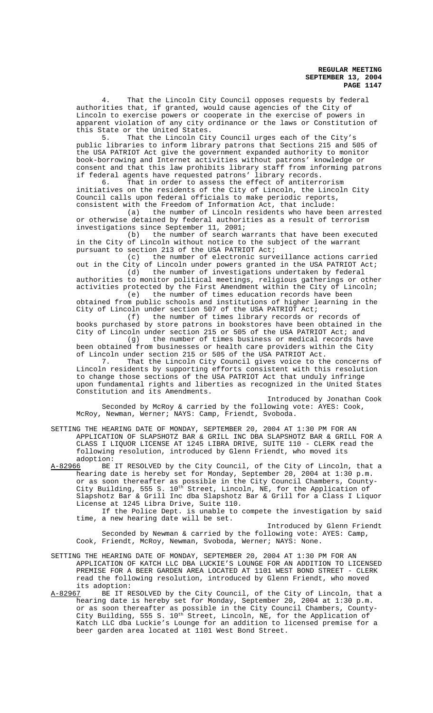4. That the Lincoln City Council opposes requests by federal authorities that, if granted, would cause agencies of the City of Lincoln to exercise powers or cooperate in the exercise of powers in apparent violation of any city ordinance or the laws or Constitution of this State or the United States.

5. That the Lincoln City Council urges each of the City's public libraries to inform library patrons that Sections 215 and 505 of the USA PATRIOT Act give the government expanded authority to monitor book-borrowing and Internet activities without patrons' knowledge or consent and that this law prohibits library staff from informing patrons if federal agents have requested patrons' library records.<br>6. That in order to assess the effect of antiterr

That in order to assess the effect of antiterrorism initiatives on the residents of the City of Lincoln, the Lincoln City Council calls upon federal officials to make periodic reports, consistent with the Freedom of Information Act, that include:

(a) the number of Lincoln residents who have been arrested or otherwise detained by federal authorities as a result of terrorism investigations since September 11, 2001;

(b) the number of search warrants that have been executed in the City of Lincoln without notice to the subject of the warrant pursuant to section 213 of the USA PATRIOT Act;<br>(c) the number of electronic surve

the number of electronic surveillance actions carried out in the City of Lincoln under powers granted in the USA PATRIOT Act; (d) the number of investigations undertaken by federal

authorities to monitor political meetings, religious gatherings or other activities protected by the First Amendment within the City of Lincoln;<br>(e) the number of times education records have been the number of times education records have been

obtained from public schools and institutions of higher learning in the City of Lincoln under section 507 of the USA PATRIOT Act;

(f) the number of times library records or records of books purchased by store patrons in bookstores have been obtained in the City of Lincoln under section 215 or 505 of the USA PATRIOT Act; and (g) the number of times business or medical records have

been obtained from businesses or health care providers within the City of Lincoln under section 215 or 505 of the USA PATRIOT Act.<br>7. That the Lincoln City Council gives voice to the

That the Lincoln City Council gives voice to the concerns of Lincoln residents by supporting efforts consistent with this resolution to change those sections of the USA PATRIOT Act that unduly infringe upon fundamental rights and liberties as recognized in the United States Constitution and its Amendments.

Introduced by Jonathan Cook Seconded by McRoy & carried by the following vote: AYES: Cook, McRoy, Newman, Werner; NAYS: Camp, Friendt, Svoboda.

SETTING THE HEARING DATE OF MONDAY, SEPTEMBER 20, 2004 AT 1:30 PM FOR AN APPLICATION OF SLAPSHOTZ BAR & GRILL INC DBA SLAPSHOTZ BAR & GRILL FOR A CLASS I LIQUOR LICENSE AT 1245 LIBRA DRIVE, SUITE 110 - CLERK read the following resolution, introduced by Glenn Friendt, who moved its

adoption:<br>A-82966 BE A-82966 BE IT RESOLVED by the City Council, of the City of Lincoln, that a hearing date is hereby set for Monday, September 20, 2004 at 1:30 p.m. or as soon thereafter as possible in the City Council Chambers, County-City Building, 555 S. 10<sup>th</sup> Street, Lincoln, NE, for the Application of Slapshotz Bar & Grill Inc dba Slapshotz Bar & Grill for a Class I Liquor License at 1245 Libra Drive, Suite 110.

If the Police Dept. is unable to compete the investigation by said time, a new hearing date will be set.

Introduced by Glenn Friendt Seconded by Newman & carried by the following vote: AYES: Camp, Cook, Friendt, McRoy, Newman, Svoboda, Werner; NAYS: None.

- SETTING THE HEARING DATE OF MONDAY, SEPTEMBER 20, 2004 AT 1:30 PM FOR AN APPLICATION OF KATCH LLC DBA LUCKIE'S LOUNGE FOR AN ADDITION TO LICENSED PREMISE FOR A BEER GARDEN AREA LOCATED AT 1101 WEST BOND STREET - CLERK read the following resolution, introduced by Glenn Friendt, who moved its adoption:
- A-82967 BE IT RESOLVED by the City Council, of the City of Lincoln, that a hearing date is hereby set for Monday, September 20, 2004 at 1:30 p.m. or as soon thereafter as possible in the City Council Chambers, County-City Building, 555 S. 10<sup>th</sup> Street, Lincoln, NE, for the Application of Katch LLC dba Luckie's Lounge for an addition to licensed premise for a beer garden area located at 1101 West Bond Street.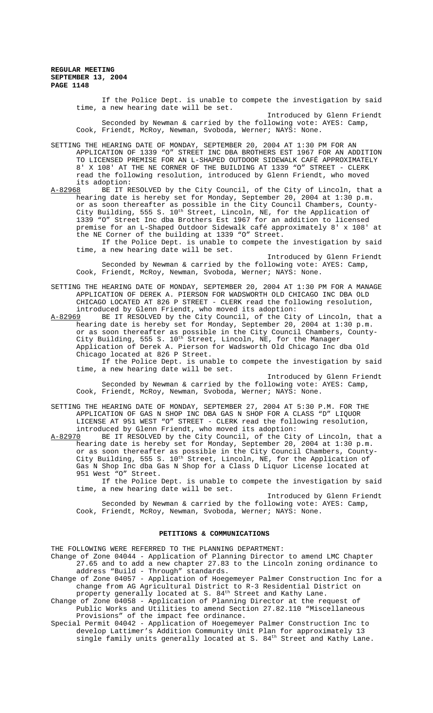> If the Police Dept. is unable to compete the investigation by said time, a new hearing date will be set.

> Introduced by Glenn Friendt Seconded by Newman & carried by the following vote: AYES: Camp, Cook, Friendt, McRoy, Newman, Svoboda, Werner; NAYS: None.

SETTING THE HEARING DATE OF MONDAY, SEPTEMBER 20, 2004 AT 1:30 PM FOR AN APPLICATION OF 1339 "O" STREET INC DBA BROTHERS EST 1967 FOR AN ADDITION TO LICENSED PREMISE FOR AN L-SHAPED OUTDOOR SIDEWALK CAFÉ APPROXIMATELY 8' X 108' AT THE NE CORNER OF THE BUILDING AT 1339 "O" STREET - CLERK read the following resolution, introduced by Glenn Friendt, who moved its adoption:<br>A-82968 BE IT R

A-82968 BE IT RESOLVED by the City Council, of the City of Lincoln, that a hearing date is hereby set for Monday, September 20, 2004 at 1:30 p.m. or as soon thereafter as possible in the City Council Chambers, County-City Building, 555 S. 10<sup>th</sup> Street, Lincoln, NE, for the Application of 1339 "O" Street Inc dba Brothers Est 1967 for an addition to licensed premise for an L-Shaped Outdoor Sidewalk café approximately 8' x 108' at the NE Corner of the building at 1339 "O" Street.

If the Police Dept. is unable to compete the investigation by said time, a new hearing date will be set.

Introduced by Glenn Friendt Seconded by Newman & carried by the following vote: AYES: Camp, Cook, Friendt, McRoy, Newman, Svoboda, Werner; NAYS: None.

SETTING THE HEARING DATE OF MONDAY, SEPTEMBER 20, 2004 AT 1:30 PM FOR A MANAGE APPLICATION OF DEREK A. PIERSON FOR WADSWORTH OLD CHICAGO INC DBA OLD CHICAGO LOCATED AT 826 P STREET - CLERK read the following resolution, introduced by Glenn Friendt, who moved its adoption:

A-82969 BE IT RESOLVED by the City Council, of the City of Lincoln, that a hearing date is hereby set for Monday, September 20, 2004 at 1:30 p.m. or as soon thereafter as possible in the City Council Chambers, County-City Building, 555 S. 10<sup>th</sup> Street, Lincoln, NE, for the Manager Application of Derek A. Pierson for Wadsworth Old Chicago Inc dba Old Chicago located at 826 P Street.

If the Police Dept. is unable to compete the investigation by said time, a new hearing date will be set.

Introduced by Glenn Friendt Seconded by Newman & carried by the following vote: AYES: Camp, Cook, Friendt, McRoy, Newman, Svoboda, Werner; NAYS: None.

SETTING THE HEARING DATE OF MONDAY, SEPTEMBER 27, 2004 AT 5:30 P.M. FOR THE APPLICATION OF GAS N SHOP INC DBA GAS N SHOP FOR A CLASS "D" LIQUOR LICENSE AT 951 WEST "O" STREET - CLERK read the following resolution, introduced by Glenn Friendt, who moved its adoption:<br>A-82970 BE IT RESOLVED by the City Council, of the City

BE IT RESOLVED by the City Council, of the City of Lincoln, that a hearing date is hereby set for Monday, September 20, 2004 at 1:30 p.m. or as soon thereafter as possible in the City Council Chambers, County-City Building, 555 S.  $10^{\text{th}}$  Street, Lincoln, NE, for the Application of Gas N Shop Inc dba Gas N Shop for a Class D Liquor License located at 951 West "O" Street.

If the Police Dept. is unable to compete the investigation by said time, a new hearing date will be set.

Introduced by Glenn Friendt Seconded by Newman & carried by the following vote: AYES: Camp, Cook, Friendt, McRoy, Newman, Svoboda, Werner; NAYS: None.

### **PETITIONS & COMMUNICATIONS**

THE FOLLOWING WERE REFERRED TO THE PLANNING DEPARTMENT:

Change of Zone 04044 - Application of Planning Director to amend LMC Chapter 27.65 and to add a new chapter 27.83 to the Lincoln zoning ordinance to address "Build - Through" standards.

Change of Zone 04057 - Application of Hoegemeyer Palmer Construction Inc for a change from AG Agricultural District to R-3 Residential District on property generally located at S.  $84^{\text{th}}$  Street and Kathy Lane.

Change of Zone 04058 - Application of Planning Director at the request of Public Works and Utilities to amend Section 27.82.110 "Miscellaneous Provisions" of the impact fee ordinance.

Special Permit 04042 - Application of Hoegemeyer Palmer Construction Inc to develop Lattimer's Addition Community Unit Plan for approximately 13 single family units generally located at S.  $84^{\text{th}}$  Street and Kathy Lane.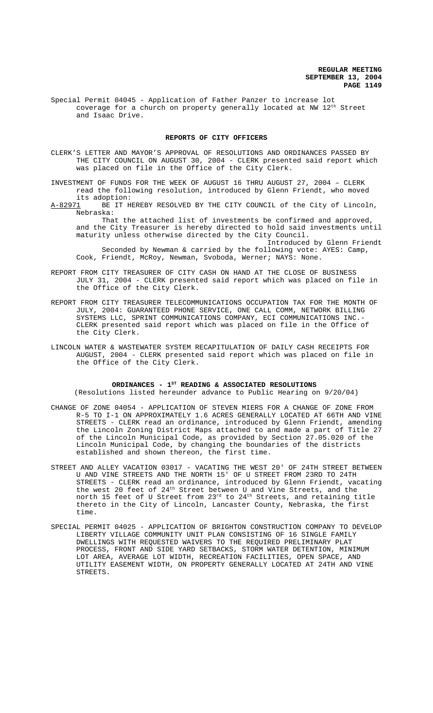Special Permit 04045 - Application of Father Panzer to increase lot coverage for a church on property generally located at NW 12<sup>th</sup> Street and Isaac Drive.

#### **REPORTS OF CITY OFFICERS**

CLERK'S LETTER AND MAYOR'S APPROVAL OF RESOLUTIONS AND ORDINANCES PASSED BY THE CITY COUNCIL ON AUGUST 30, 2004 - CLERK presented said report which was placed on file in the Office of the City Clerk.

INVESTMENT OF FUNDS FOR THE WEEK OF AUGUST 16 THRU AUGUST 27, 2004 – CLERK read the following resolution, introduced by Glenn Friendt, who moved

its adoption:<br><u>A-82971</u> BE IT H BE IT HEREBY RESOLVED BY THE CITY COUNCIL of the City of Lincoln, Nebraska:

That the attached list of investments be confirmed and approved, and the City Treasurer is hereby directed to hold said investments until maturity unless otherwise directed by the City Council.

Introduced by Glenn Friendt Seconded by Newman & carried by the following vote: AYES: Camp, Cook, Friendt, McRoy, Newman, Svoboda, Werner; NAYS: None.

- REPORT FROM CITY TREASURER OF CITY CASH ON HAND AT THE CLOSE OF BUSINESS JULY 31, 2004 - CLERK presented said report which was placed on file in the Office of the City Clerk.
- REPORT FROM CITY TREASURER TELECOMMUNICATIONS OCCUPATION TAX FOR THE MONTH OF JULY, 2004: GUARANTEED PHONE SERVICE, ONE CALL COMM, NETWORK BILLING SYSTEMS LLC, SPRINT COMMUNICATIONS COMPANY, ECI COMMUNICATIONS INC.- CLERK presented said report which was placed on file in the Office of the City Clerk.
- LINCOLN WATER & WASTEWATER SYSTEM RECAPITULATION OF DAILY CASH RECEIPTS FOR AUGUST, 2004 - CLERK presented said report which was placed on file in the Office of the City Clerk.

#### ORDINANCES - 1<sup>st</sup> READING & ASSOCIATED RESOLUTIONS (Resolutions listed hereunder advance to Public Hearing on 9/20/04)

- CHANGE OF ZONE 04054 APPLICATION OF STEVEN MIERS FOR A CHANGE OF ZONE FROM R-5 TO I-1 ON APPROXIMATELY 1.6 ACRES GENERALLY LOCATED AT 66TH AND VINE STREETS - CLERK read an ordinance, introduced by Glenn Friendt, amending the Lincoln Zoning District Maps attached to and made a part of Title 27 of the Lincoln Municipal Code, as provided by Section 27.05.020 of the Lincoln Municipal Code, by changing the boundaries of the districts established and shown thereon, the first time.
- STREET AND ALLEY VACATION 03017 VACATING THE WEST 20' OF 24TH STREET BETWEEN U AND VINE STREETS AND THE NORTH 15' OF U STREET FROM 23RD TO 24TH STREETS - CLERK read an ordinance, introduced by Glenn Friendt, vacating the west 20 feet of 24<sup>th</sup> Street between U and Vine Streets, and the north 15 feet of U Street from  $23^{\rm rd}$  to  $24^{\rm th}$  Streets, and retaining title thereto in the City of Lincoln, Lancaster County, Nebraska, the first time.
- SPECIAL PERMIT 04025 APPLICATION OF BRIGHTON CONSTRUCTION COMPANY TO DEVELOP LIBERTY VILLAGE COMMUNITY UNIT PLAN CONSISTING OF 16 SINGLE FAMILY DWELLINGS WITH REQUESTED WAIVERS TO THE REQUIRED PRELIMINARY PLAT PROCESS, FRONT AND SIDE YARD SETBACKS, STORM WATER DETENTION, MINIMUM LOT AREA, AVERAGE LOT WIDTH, RECREATION FACILITIES, OPEN SPACE, AND UTILITY EASEMENT WIDTH, ON PROPERTY GENERALLY LOCATED AT 24TH AND VINE STREETS.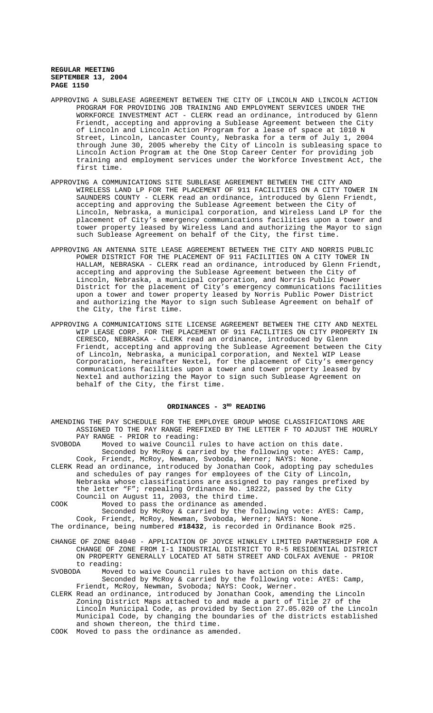- APPROVING A SUBLEASE AGREEMENT BETWEEN THE CITY OF LINCOLN AND LINCOLN ACTION PROGRAM FOR PROVIDING JOB TRAINING AND EMPLOYMENT SERVICES UNDER THE WORKFORCE INVESTMENT ACT - CLERK read an ordinance, introduced by Glenn Friendt, accepting and approving a Sublease Agreement between the City of Lincoln and Lincoln Action Program for a lease of space at 1010 N Street, Lincoln, Lancaster County, Nebraska for a term of July 1, 2004 through June 30, 2005 whereby the City of Lincoln is subleasing space to Lincoln Action Program at the One Stop Career Center for providing job training and employment services under the Workforce Investment Act, the first time.
- APPROVING A COMMUNICATIONS SITE SUBLEASE AGREEMENT BETWEEN THE CITY AND WIRELESS LAND LP FOR THE PLACEMENT OF 911 FACILITIES ON A CITY TOWER IN SAUNDERS COUNTY - CLERK read an ordinance, introduced by Glenn Friendt, accepting and approving the Sublease Agreement between the City of Lincoln, Nebraska, a municipal corporation, and Wireless Land LP for the placement of City's emergency communications facilities upon a tower and tower property leased by Wireless Land and authorizing the Mayor to sign such Sublease Agreement on behalf of the City, the first time.
- APPROVING AN ANTENNA SITE LEASE AGREEMENT BETWEEN THE CITY AND NORRIS PUBLIC POWER DISTRICT FOR THE PLACEMENT OF 911 FACILITIES ON A CITY TOWER IN HALLAM, NEBRASKA - CLERK read an ordinance, introduced by Glenn Friendt, accepting and approving the Sublease Agreement between the City of Lincoln, Nebraska, a municipal corporation, and Norris Public Power District for the placement of City's emergency communications facilities upon a tower and tower property leased by Norris Public Power District and authorizing the Mayor to sign such Sublease Agreement on behalf of the City, the first time.
- APPROVING A COMMUNICATIONS SITE LICENSE AGREEMENT BETWEEN THE CITY AND NEXTEL WIP LEASE CORP. FOR THE PLACEMENT OF 911 FACILITIES ON CITY PROPERTY IN CERESCO, NEBRASKA - CLERK read an ordinance, introduced by Glenn Friendt, accepting and approving the Sublease Agreement between the City of Lincoln, Nebraska, a municipal corporation, and Nextel WIP Lease Corporation, hereinafter Nextel, for the placement of City's emergency communications facilities upon a tower and tower property leased by Nextel and authorizing the Mayor to sign such Sublease Agreement on behalf of the City, the first time.

# ORDINANCES - 3<sup>RD</sup> READING

- AMENDING THE PAY SCHEDULE FOR THE EMPLOYEE GROUP WHOSE CLASSIFICATIONS ARE ASSIGNED TO THE PAY RANGE PREFIXED BY THE LETTER F TO ADJUST THE HOURLY PAY RANGE - PRIOR to reading: SVOBODA Moved to waive Council rules to have action on this date. Seconded by McRoy & carried by the following vote: AYES: Camp, Cook, Friendt, McRoy, Newman, Svoboda, Werner; NAYS: None. CLERK Read an ordinance, introduced by Jonathan Cook, adopting pay schedules and schedules of pay ranges for employees of the City of Lincoln, Nebraska whose classifications are assigned to pay ranges prefixed by the letter "F"; repealing Ordinance No. 18222, passed by the City Council on August 11, 2003, the third time. COOK Moved to pass the ordinance as amended. Seconded by McRoy & carried by the following vote: AYES: Camp, Cook, Friendt, McRoy, Newman, Svoboda, Werner; NAYS: None. The ordinance, being numbered **#18432**, is recorded in Ordinance Book #25. CHANGE OF ZONE 04040 - APPLICATION OF JOYCE HINKLEY LIMITED PARTNERSHIP FOR A CHANGE OF ZONE FROM I-1 INDUSTRIAL DISTRICT TO R-5 RESIDENTIAL DISTRICT ON PROPERTY GENERALLY LOCATED AT 58TH STREET AND COLFAX AVENUE - PRIOR to reading: SVOBODA Moved to waive Council rules to have action on this date. Seconded by McRoy & carried by the following vote: AYES: Camp, Friendt, McRoy, Newman, Svoboda; NAYS: Cook, Werner. CLERK Read an ordinance, introduced by Jonathan Cook, amending the Lincoln Zoning District Maps attached to and made a part of Title 27 of the Lincoln Municipal Code, as provided by Section 27.05.020 of the Lincoln Municipal Code, by changing the boundaries of the districts established
- and shown thereon, the third time. COOK Moved to pass the ordinance as amended.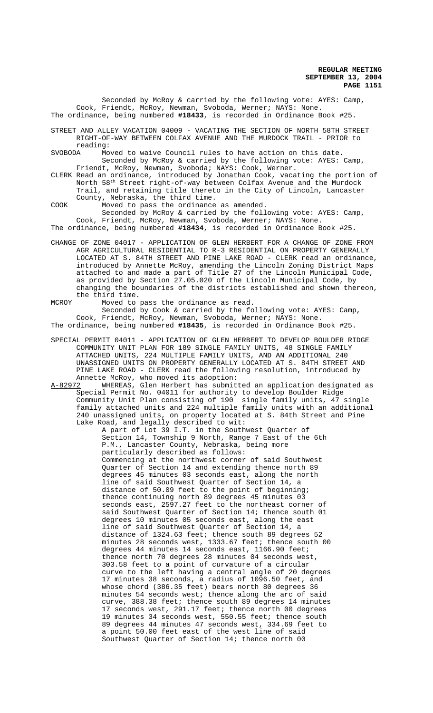Seconded by McRoy & carried by the following vote: AYES: Camp, Cook, Friendt, McRoy, Newman, Svoboda, Werner; NAYS: None. The ordinance, being numbered **#18433**, is recorded in Ordinance Book #25.

STREET AND ALLEY VACATION 04009 - VACATING THE SECTION OF NORTH 58TH STREET RIGHT-OF-WAY BETWEEN COLFAX AVENUE AND THE MURDOCK TRAIL - PRIOR to reading:

SVOBODA Moved to waive Council rules to have action on this date. Seconded by McRoy & carried by the following vote: AYES: Camp, Friendt, McRoy, Newman, Svoboda; NAYS: Cook, Werner.

CLERK Read an ordinance, introduced by Jonathan Cook, vacating the portion of North 58th Street right-of-way between Colfax Avenue and the Murdock Trail, and retaining title thereto in the City of Lincoln, Lancaster County, Nebraska, the third time.

COOK Moved to pass the ordinance as amended.

Seconded by McRoy & carried by the following vote: AYES: Camp, Cook, Friendt, McRoy, Newman, Svoboda, Werner; NAYS: None. The ordinance, being numbered **#18434**, is recorded in Ordinance Book #25.

CHANGE OF ZONE 04017 - APPLICATION OF GLEN HERBERT FOR A CHANGE OF ZONE FROM AGR AGRICULTURAL RESIDENTIAL TO R-3 RESIDENTIAL ON PROPERTY GENERALLY LOCATED AT S. 84TH STREET AND PINE LAKE ROAD - CLERK read an ordinance, introduced by Annette McRoy, amending the Lincoln Zoning District Maps attached to and made a part of Title 27 of the Lincoln Municipal Code, as provided by Section 27.05.020 of the Lincoln Municipal Code, by changing the boundaries of the districts established and shown thereon, the third time.

MCROY Moved to pass the ordinance as read. Seconded by Cook & carried by the following vote: AYES: Camp, Cook, Friendt, McRoy, Newman, Svoboda, Werner; NAYS: None. The ordinance, being numbered **#18435**, is recorded in Ordinance Book #25.

SPECIAL PERMIT 04011 - APPLICATION OF GLEN HERBERT TO DEVELOP BOULDER RIDGE COMMUNITY UNIT PLAN FOR 189 SINGLE FAMILY UNITS, 48 SINGLE FAMILY ATTACHED UNITS, 224 MULTIPLE FAMILY UNITS, AND AN ADDITIONAL 240 UNASSIGNED UNITS ON PROPERTY GENERALLY LOCATED AT S. 84TH STREET AND PINE LAKE ROAD - CLERK read the following resolution, introduced by Annette McRoy, who moved its adoption:

A-82972 WHEREAS, Glen Herbert has submitted an application designated as Special Permit No. 04011 for authority to develop Boulder Ridge Community Unit Plan consisting of 190 single family units, 47 single family attached units and 224 multiple family units with an additional 240 unassigned units, on property located at S. 84th Street and Pine Lake Road, and legally described to wit:

> A part of Lot 39 I.T. in the Southwest Quarter of Section 14, Township 9 North, Range 7 East of the 6th P.M., Lancaster County, Nebraska, being more particularly described as follows: Commencing at the northwest corner of said Southwest Quarter of Section 14 and extending thence north 89 degrees 45 minutes 03 seconds east, along the north line of said Southwest Quarter of Section 14, a distance of 50.09 feet to the point of beginning; thence continuing north 89 degrees 45 minutes 03 seconds east, 2597.27 feet to the northeast corner of said Southwest Quarter of Section 14; thence south 01 degrees 10 minutes 05 seconds east, along the east line of said Southwest Quarter of Section 14, a distance of 1324.63 feet; thence south 89 degrees 52 minutes 28 seconds west, 1333.67 feet; thence south 00 degrees 44 minutes 14 seconds east, 1166.90 feet; thence north 70 degrees 28 minutes 04 seconds west, 303.58 feet to a point of curvature of a circular curve to the left having a central angle of 20 degrees 17 minutes 38 seconds, a radius of 1096.50 feet, and whose chord (386.35 feet) bears north 80 degrees 36 minutes 54 seconds west; thence along the arc of said curve, 388.38 feet; thence south 89 degrees 14 minutes 17 seconds west, 291.17 feet; thence north 00 degrees 19 minutes 34 seconds west, 550.55 feet; thence south 89 degrees 44 minutes 47 seconds west, 334.69 feet to a point 50.00 feet east of the west line of said Southwest Quarter of Section 14; thence north 00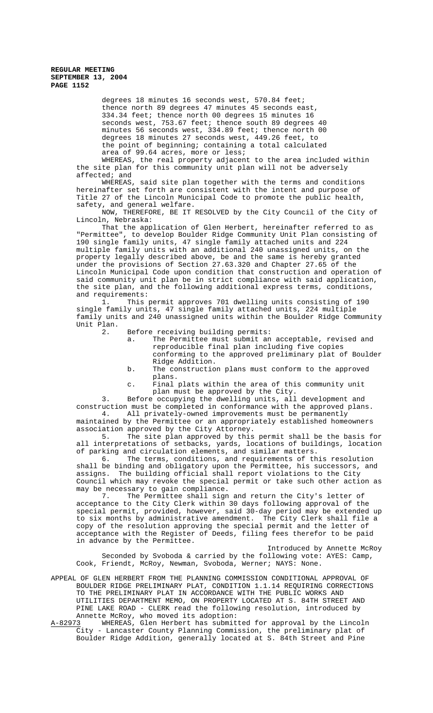> degrees 18 minutes 16 seconds west, 570.84 feet; thence north 89 degrees 47 minutes 45 seconds east, 334.34 feet; thence north 00 degrees 15 minutes 16 seconds west, 753.67 feet; thence south 89 degrees 40 minutes 56 seconds west, 334.89 feet; thence north 00 degrees 18 minutes 27 seconds west, 449.26 feet, to the point of beginning; containing a total calculated area of 99.64 acres, more or less;

WHEREAS, the real property adjacent to the area included within the site plan for this community unit plan will not be adversely affected; and

WHEREAS, said site plan together with the terms and conditions hereinafter set forth are consistent with the intent and purpose of Title 27 of the Lincoln Municipal Code to promote the public health, safety, and general welfare.

NOW, THEREFORE, BE IT RESOLVED by the City Council of the City of Lincoln, Nebraska:

That the application of Glen Herbert, hereinafter referred to as "Permittee", to develop Boulder Ridge Community Unit Plan consisting of 190 single family units, 47 single family attached units and 224 multiple family units with an additional 240 unassigned units, on the property legally described above, be and the same is hereby granted under the provisions of Section 27.63.320 and Chapter 27.65 of the Lincoln Municipal Code upon condition that construction and operation of said community unit plan be in strict compliance with said application, the site plan, and the following additional express terms, conditions, and requirements:

1. This permit approves 701 dwelling units consisting of 190 single family units, 47 single family attached units, 224 multiple family units and 240 unassigned units within the Boulder Ridge Community Unit Plan.

2. Before receiving building permits:

- a. The Permittee must submit an acceptable, revised and reproducible final plan including five copies conforming to the approved preliminary plat of Boulder Ridge Addition.
- b. The construction plans must conform to the approved plans.
- c. Final plats within the area of this community unit plan must be approved by the City.

3. Before occupying the dwelling units, all development and construction must be completed in conformance with the approved plans. 4. All privately-owned improvements must be permanently

maintained by the Permittee or an appropriately established homeowners association approved by the City Attorney.

5. The site plan approved by this permit shall be the basis for all interpretations of setbacks, yards, locations of buildings, location of parking and circulation elements, and similar matters.<br>6. The terms, conditions, and requirements of the

The terms, conditions, and requirements of this resolution shall be binding and obligatory upon the Permittee, his successors, and assigns. The building official shall report violations to the City Council which may revoke the special permit or take such other action as may be necessary to gain compliance.

7. The Permittee shall sign and return the City's letter of acceptance to the City Clerk within 30 days following approval of the special permit, provided, however, said 30-day period may be extended up to six months by administrative amendment. The City Clerk shall file a copy of the resolution approving the special permit and the letter of acceptance with the Register of Deeds, filing fees therefor to be paid in advance by the Permittee.

Introduced by Annette McRoy Seconded by Svoboda & carried by the following vote: AYES: Camp, Cook, Friendt, McRoy, Newman, Svoboda, Werner; NAYS: None.

APPEAL OF GLEN HERBERT FROM THE PLANNING COMMISSION CONDITIONAL APPROVAL OF BOULDER RIDGE PRELIMINARY PLAT, CONDITION 1.1.14 REQUIRING CORRECTIONS TO THE PRELIMINARY PLAT IN ACCORDANCE WITH THE PUBLIC WORKS AND UTILITIES DEPARTMENT MEMO, ON PROPERTY LOCATED AT S. 84TH STREET AND PINE LAKE ROAD - CLERK read the following resolution, introduced by Annette McRoy, who moved its adoption:<br>A-82973 WHEREAS, Glen Herbert has submitted

WHEREAS, Glen Herbert has submitted for approval by the Lincoln City - Lancaster County Planning Commission, the preliminary plat of Boulder Ridge Addition, generally located at S. 84th Street and Pine